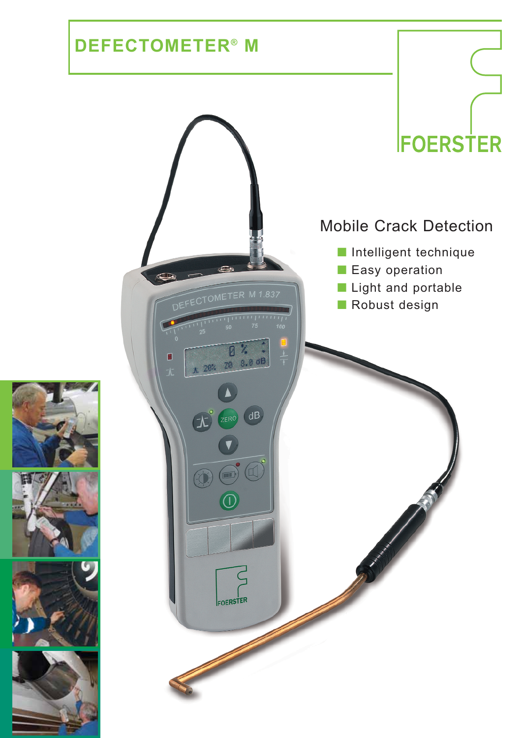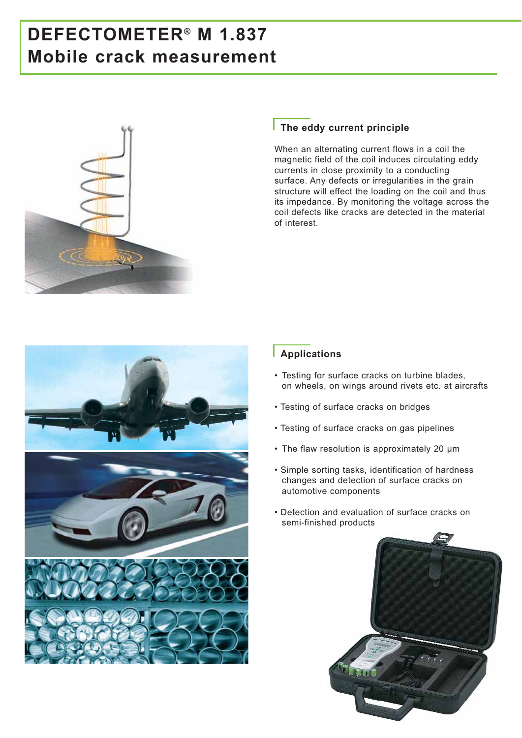# **DEFECTOMETER® M 1.837 Mobile crack measurement**



#### **The eddy current principle**

When an alternating current flows in a coil the magnetic field of the coil induces circulating eddy currents in close proximity to a conducting surface. Any defects or irregularities in the grain structure will effect the loading on the coil and thus its impedance. By monitoring the voltage across the coil defects like cracks are detected in the material of interest.



#### **Applications**

- Testing for surface cracks on turbine blades, on wheels, on wings around rivets etc. at aircrafts
- Testing of surface cracks on bridges
- Testing of surface cracks on gas pipelines
- The flaw resolution is approximately 20 µm
- Simple sorting tasks, identification of hardness changes and detection of surface cracks on automotive components
- Detection and evaluation of surface cracks on semi-finished products

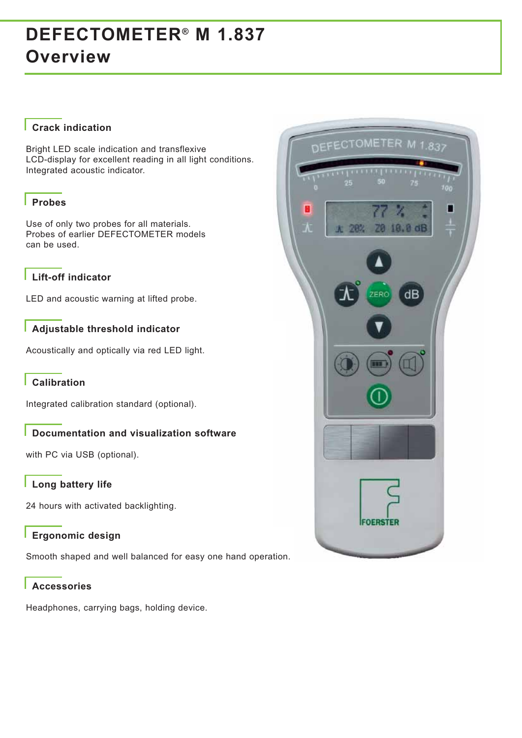### **Crack indication**

Bright LED scale indication and transflexive LCD-display for excellent reading in all light conditions. Integrated acoustic indicator.

#### **Probes**

Use of only two probes for all materials. Probes of earlier DEFECTOMETER models can be used.

## **Lift-off indicator**

LED and acoustic warning at lifted probe.

#### **Adjustable threshold indicator**

Acoustically and optically via red LED light.

#### **Calibration**

Integrated calibration standard (optional).

### **Documentation and visualization software**

with PC via USB (optional).

#### **Long battery life**

24 hours with activated backlighting.

#### **Ergonomic design**

Smooth shaped and well balanced for easy one hand operation.

#### **Accessories**

Headphones, carrying bags, holding device.